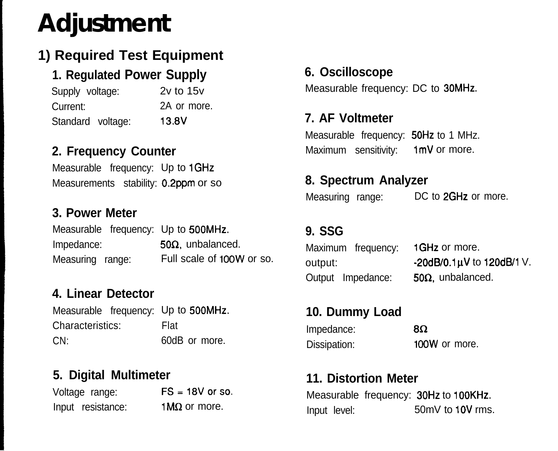# **Adjustment**

# **1) Required Test Equipment**

## **1. Regulated Power Supply**

Supply voltage: 2v to 15v Current: 2A or more. Standard voltage: 13.8V

#### **2. Frequency Counter**

Measurable frequency: Up to 1GHz Measurements stability: 0.2ppm or so

#### **3. Power Meter**

|                  | Measurable frequency: Up to 500MHz. |
|------------------|-------------------------------------|
| Impedance:       | $50\Omega$ , unbalanced.            |
| Measuring range: | Full scale of 100W or so.           |

#### **4. Linear Detector**

Measurable frequency: Up to 5OOMHz. Characteristics: CN: Flat 60dB or more.

#### **5. Digital Multimeter**

Voltage range:  $FS = 18V$  or so. Input resistance:  $1M\Omega$  or more.

#### **6. Oscilloscope**

Measurable frequency: DC to 30MHz.

#### **7. AF Voltmeter**

Measurable frequency: 50Hz to 1 MHz. Maximum sensitivity: 1mV or more.

#### **8. Spectrum Analyzer**

Measuring range:

DC to 2GHz or more.

#### **9. SSG**

|         | Maximum frequency: | 1GHz or more.             |
|---------|--------------------|---------------------------|
| output: |                    | -20dB/0.1µV to 120dB/1 V. |
|         | Output Impedance:  | $50\Omega$ , unbalanced.  |

#### **10. Dummy Load**

| Impedance:   | -8Ω           |
|--------------|---------------|
| Dissipation: | 100W or more. |

#### **11. Distortion Meter**

Measurable frequency: 30Hz to 100KHz. Input level: 50mV to 1OV rms.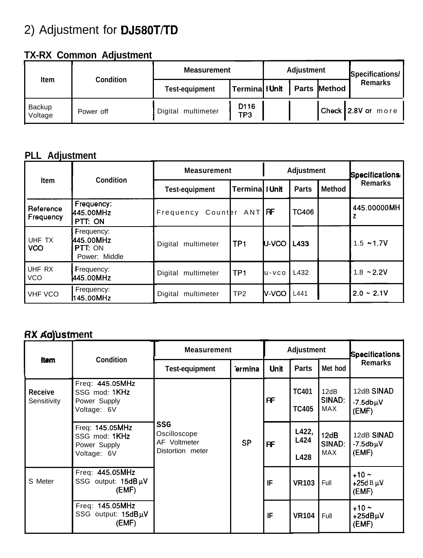# 2) Adjustment for DJ580T/TD

### **TX-RX Common Adjustment**

| Item                     | Condition | <b>Measurement</b>    |               | <b>Adjustment</b> |  |                     | Specifications/    |
|--------------------------|-----------|-----------------------|---------------|-------------------|--|---------------------|--------------------|
|                          |           | <b>Test-equipment</b> | Termina IUnit |                   |  | <b>Parts Method</b> | <b>Remarks</b>     |
| <b>Backup</b><br>Voltage | Power off | Digital multimeter    | D116<br>TP3   |                   |  |                     | Check 2.8V or more |

#### **PLL Adjustment**

| <b>Item</b>            | Condition                                           | <b>Measurement</b>    |                 | <b>Adjustment</b> |              |               | <b>Specifications</b> |
|------------------------|-----------------------------------------------------|-----------------------|-----------------|-------------------|--------------|---------------|-----------------------|
|                        |                                                     | <b>Test-equipment</b> | Terminal I Unit |                   | <b>Parts</b> | <b>Method</b> | <b>Remarks</b>        |
| Reference<br>Frequency | Frequency:<br>445.00MHz<br>PTT: ON                  | Frequency Counter     | ANTI            | <b>RF</b>         | <b>TC406</b> |               | 445.00000MH           |
| UHF TX<br><b>VCO</b>   | Frequency:<br>445.00MHz<br>PTT: ON<br>Power: Middle | Digital multimeter    | TP <sub>1</sub> | U-VCO             | L433         |               | $1.5 - 1.7V$          |
| UHF RX<br><b>VCO</b>   | Frequency:<br>445.00MHz                             | Digital<br>multimeter | TP <sub>1</sub> | $U - VCO$         | L432         |               | $1.8 - 2.2V$          |
| <b>VHF VCO</b>         | Frequency:<br>145.00MHz                             | Digital<br>multimeter | TP <sub>2</sub> | N-VCO             | L441         |               | $2.0 \div 2.1$ V      |

#### RX Adjustment

|                               | <b>Condition</b>                                                | <b>Measurement</b>                                      |           | <b>Adjustment</b> |                              |                       | <b>Specifications</b>                    |
|-------------------------------|-----------------------------------------------------------------|---------------------------------------------------------|-----------|-------------------|------------------------------|-----------------------|------------------------------------------|
| ltem                          |                                                                 | <b>Test-equipment</b>                                   | ermina    | <b>Unit</b>       | <b>Parts</b>                 | Met hod               | <b>Remarks</b>                           |
| <b>Receive</b><br>Sensitivity | Freq: 445.05MHz<br>SSG mod: 1KHz<br>Power Supply<br>Voltage: 6V |                                                         |           | RF                | <b>TC401</b><br><b>TC405</b> | 12dB<br>SINAD:<br>MAX | 12dB SINAD<br>$-7.5$ db $\mu$ V<br>(EMF) |
|                               | Freq: 145.05MHz<br>SSG mod: 1KHz<br>Power Supply<br>Voltage: 6V | SSG<br>Oscilloscope<br>AF Voltmeter<br>Distortion meter | <b>SP</b> | RF                | L422,<br>L424<br>L428        | 12dB<br>SINAD:<br>MAX | 12dB SINAD<br>$-7.5$ db $\mu$ V<br>(EMF) |
| S Meter                       | Freq: 445.05MHz<br>SSG output: 15dBuV<br>(EMF)                  |                                                         |           | IF                | <b>VR103</b>                 | Full                  | $+10 -$<br>+25d B $\mu$ V<br>(EMF)       |
|                               | Freq: 145.05MHz<br>SSG output: $15dB\mu V$<br>(EMF)             |                                                         |           | IF                | <b>VR104</b>                 | Full                  | $+10 -$<br>+25dBµV<br>(EMF)              |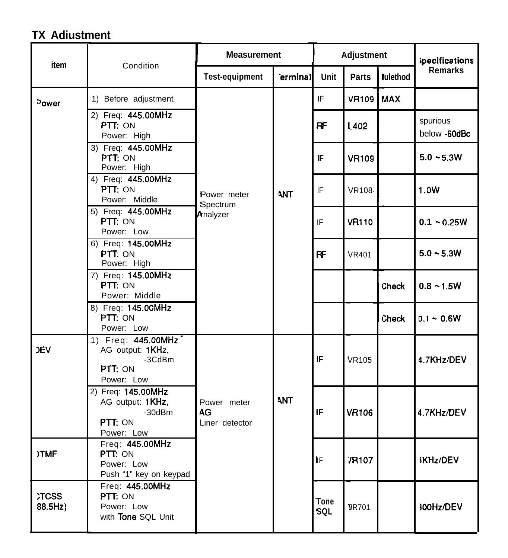# **TX Adiustment**

| item                   | Condition                                                                       | <b>Measurement</b>                  |         | Adjustment                |              |                 | ipecifications           |
|------------------------|---------------------------------------------------------------------------------|-------------------------------------|---------|---------------------------|--------------|-----------------|--------------------------|
|                        |                                                                                 | <b>Test-equipment</b>               | erminal | Unit                      | <b>Parts</b> | <b>Pulethod</b> | <b>Remarks</b>           |
| <sup>3</sup> ower      | 1) Before adjustment                                                            |                                     | ANT     | IF                        | <b>VR109</b> | <b>MAX</b>      |                          |
|                        | 2) Freq: 445.00MHz<br>PTT: ON<br>Power: High                                    |                                     |         | <b>RF</b>                 | L402         |                 | spurious<br>below -60dBc |
|                        | 3) Freq: 445.00MHz<br>PTT: ON<br>Power: High                                    |                                     |         | IF                        | <b>VR109</b> |                 | $5.0 - 5.3W$             |
|                        | 4) Freq: 445.00MHz<br>PTT: ON<br>Power: Middle                                  | Power meter<br>Spectrum             |         | IF                        | <b>VR108</b> |                 | 1.0W                     |
|                        | 5) Freq: 445.00MHz<br>PTT: ON<br>Power: Low                                     | <b>Arnalyzer</b>                    |         | IF                        | <b>VR110</b> |                 | $0.1 - 0.25W$            |
|                        | 6) Freq: 145.00MHz<br>PTT: ON<br>Power: High                                    |                                     |         | <b>RF</b>                 | <b>VR401</b> |                 | $5.0 - 5.3W$             |
|                        | 7) Freq: 145.00MHz<br>PTT: ON<br>Power: Middle                                  |                                     |         |                           |              | Check           | $0.8 - 1.5W$             |
|                        | 8) Freq: 145.00MHz<br>PTT: ON<br>Power: Low                                     |                                     |         |                           |              | Check           | $0.1 - 0.6W$             |
| <b>JEV</b>             | 1) Freq: 445.00MHz<br>AG output: 1KHz,<br>-3CdBm<br>PTT: ON<br>Power: Low       |                                     |         | IF                        | <b>VR105</b> |                 | 4.7KHz/DEV               |
|                        | 2) Freq: 145.00MHz<br>AG output: 1KHz,<br>$-30$ d $Bm$<br>PTT: ON<br>Power: Low | Power meter<br>AG<br>Liner detector | ANT     | IF                        | <b>VR106</b> |                 | 4.7KHz/DEV               |
| <b>)TMF</b>            | Freq: 445.00MHz<br>PTT: ON<br>Power: Low<br>Push "1" key on keypad              |                                     |         | $\mathsf{IF}$             | <b>7R107</b> |                 | <b>KHz/DEV</b>           |
| <b>CCSS</b><br>88.5Hz) | Freq: 445.00MHz<br>PTT: ON<br>Power: Low<br>with Tone SQL Unit                  |                                     |         | <b>Tone</b><br><b>SQL</b> | <b>JR701</b> |                 | 300Hz/DEV                |